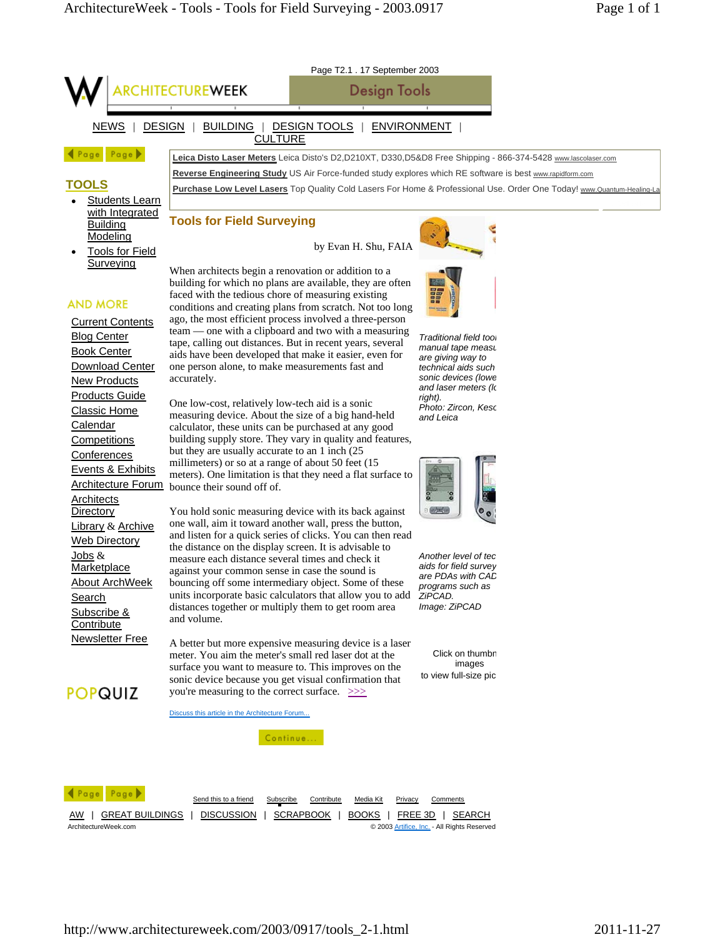

ArchitectureWeek.com © 2003 Artifice, Inc. - All Rights Reserved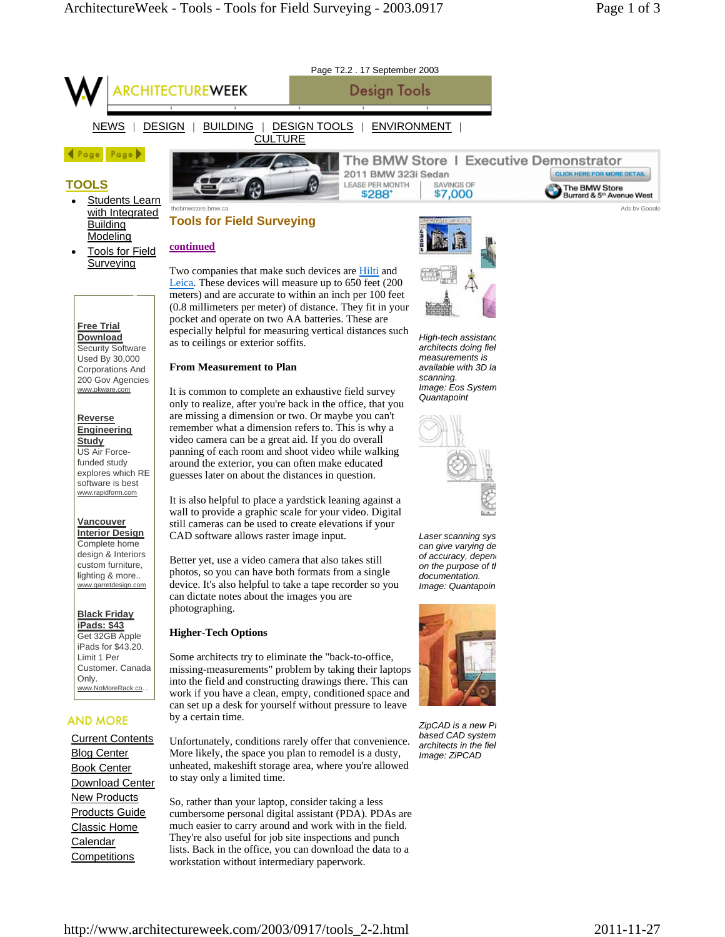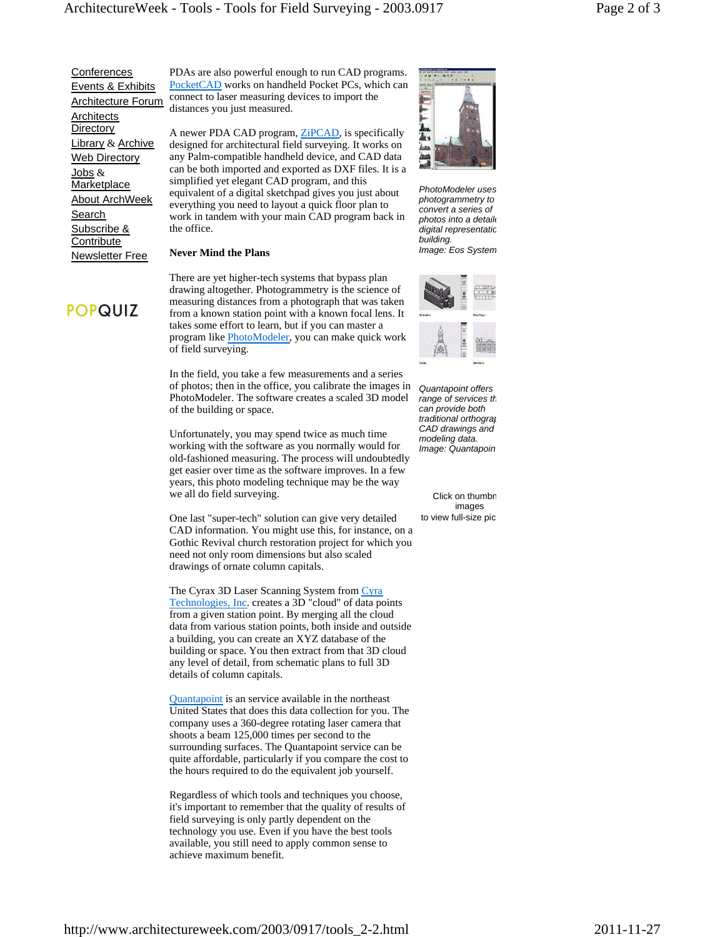**Conferences**  Events & Exhibits Architecture Forum **Architects Directory** Library & Archive Web Directory Jobs & **Marketplace**  About ArchWeek Search Subscribe & **Contribute** Newsletter Free

**POPQUIZ** 

PDAs are also powerful enough to run CAD programs. PocketCAD works on handheld Pocket PCs, which can connect to laser measuring devices to import the distances you just measured.

A newer PDA CAD program, ZiPCAD, is specifically designed for architectural field surveying. It works on any Palm-compatible handheld device, and CAD data can be both imported and exported as DXF files. It is a simplified yet elegant CAD program, and this equivalent of a digital sketchpad gives you just about everything you need to layout a quick floor plan to work in tandem with your main CAD program back in the office.

## **Never Mind the Plans**

There are yet higher-tech systems that bypass plan drawing altogether. Photogrammetry is the science of measuring distances from a photograph that was taken from a known station point with a known focal lens. It takes some effort to learn, but if you can master a program like **PhotoModeler**, you can make quick work of field surveying.

In the field, you take a few measurements and a series of photos; then in the office, you calibrate the images in PhotoModeler. The software creates a scaled 3D model of the building or space.

Unfortunately, you may spend twice as much time working with the software as you normally would for old-fashioned measuring. The process will undoubtedly get easier over time as the software improves. In a few years, this photo modeling technique may be the way we all do field surveying.

One last "super-tech" solution can give very detailed CAD information. You might use this, for instance, on a Gothic Revival church restoration project for which you need not only room dimensions but also scaled drawings of ornate column capitals.

The Cyrax 3D Laser Scanning System from Cyra Technologies, Inc. creates a 3D "cloud" of data points from a given station point. By merging all the cloud data from various station points, both inside and outside a building, you can create an XYZ database of the building or space. You then extract from that 3D cloud any level of detail, from schematic plans to full 3D details of column capitals.

Quantapoint is an service available in the northeast United States that does this data collection for you. The company uses a 360-degree rotating laser camera that shoots a beam 125,000 times per second to the surrounding surfaces. The Quantapoint service can be quite affordable, particularly if you compare the cost to the hours required to do the equivalent job yourself.

Regardless of which tools and techniques you choose, it's important to remember that the quality of results of field surveying is only partly dependent on the technology you use. Even if you have the best tools available, you still need to apply common sense to achieve maximum benefit.



*PhotoModeler uses photogrammetry to convert a series of photos into a detaile digital representatio building. Image: Eos System*



*Quantapoint offers range of services th can provide both traditional orthograp CAD drawings and modeling data. Image: Quantapoin*

Click on thumbr images to view full-size pic